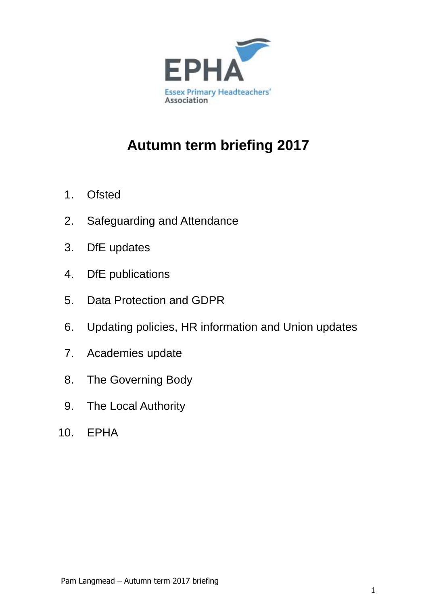

# **Autumn term briefing 2017**

- 1. Ofsted
- 2. Safeguarding and Attendance
- 3. DfE updates
- 4. DfE publications
- 5. Data Protection and GDPR
- 6. Updating policies, HR information and Union updates
- 7. Academies update
- 8. The Governing Body
- 9. The Local Authority
- 10. EPHA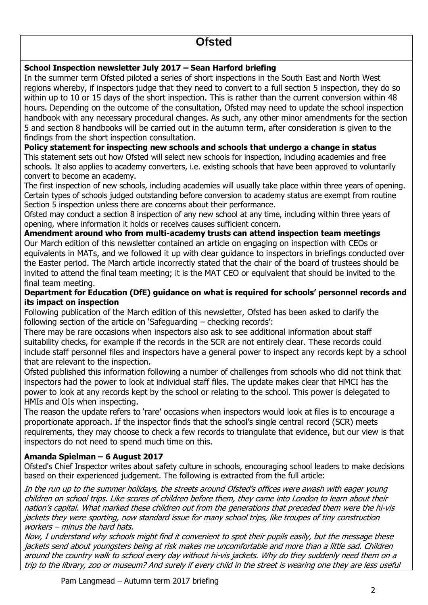## **Ofsted**

### **School Inspection newsletter July 2017 – Sean Harford briefing**

In the summer term Ofsted piloted a series of short inspections in the South East and North West regions whereby, if inspectors judge that they need to convert to a full section 5 inspection, they do so within up to 10 or 15 days of the short inspection. This is rather than the current conversion within 48 hours. Depending on the outcome of the consultation, Ofsted may need to update the school inspection handbook with any necessary procedural changes. As such, any other minor amendments for the section 5 and section 8 handbooks will be carried out in the autumn term, after consideration is given to the findings from the short inspection consultation.

### **Policy statement for inspecting new schools and schools that undergo a change in status**

This statement sets out how Ofsted will select new schools for inspection, including academies and free schools. It also applies to academy converters, i.e. existing schools that have been approved to voluntarily convert to become an academy.

The first inspection of new schools, including academies will usually take place within three years of opening. Certain types of schools judged outstanding before conversion to academy status are exempt from routine Section 5 inspection unless there are concerns about their performance.

Ofsted may conduct a section 8 inspection of any new school at any time, including within three years of opening, where information it holds or receives causes sufficient concern.

**Amendment around who from multi-academy trusts can attend inspection team meetings**  Our March edition of this newsletter contained an article on engaging on inspection with CEOs or equivalents in MATs, and we followed it up with clear guidance to inspectors in briefings conducted over the Easter period. The March article incorrectly stated that the chair of the board of trustees should be invited to attend the final team meeting; it is the MAT CEO or equivalent that should be invited to the final team meeting.

#### **Department for Education (DfE) guidance on what is required for schools' personnel records and its impact on inspection**

Following publication of the March edition of this newsletter, Ofsted has been asked to clarify the following section of the article on 'Safeguarding – checking records':

There may be rare occasions when inspectors also ask to see additional information about staff suitability checks, for example if the records in the SCR are not entirely clear. These records could include staff personnel files and inspectors have a general power to inspect any records kept by a school that are relevant to the inspection.

Ofsted published this information following a number of challenges from schools who did not think that inspectors had the power to look at individual staff files. The update makes clear that HMCI has the power to look at any records kept by the school or relating to the school. This power is delegated to HMIs and OIs when inspecting.

The reason the update refers to 'rare' occasions when inspectors would look at files is to encourage a proportionate approach. If the inspector finds that the school's single central record (SCR) meets requirements, they may choose to check a few records to triangulate that evidence, but our view is that inspectors do not need to spend much time on this.

### **Amanda Spielman – 6 August 2017**

Ofsted's Chief Inspector writes about safety culture in schools, encouraging school leaders to make decisions based on their experienced judgement. The following is extracted from the full article:

In the run up to the summer holidays, the streets around Ofsted's offices were awash with eager young children on school trips. Like scores of children before them, they came into London to learn about their nation's capital. What marked these children out from the generations that preceded them were the hi-vis jackets they were sporting, now standard issue for many school trips, like troupes of tiny construction workers – minus the hard hats.

Now, I understand why schools might find it convenient to spot their pupils easily, but the message these jackets send about youngsters being at risk makes me uncomfortable and more than a little sad. Children around the country walk to school every day without hi-vis jackets. Why do they suddenly need them on a trip to the library, zoo or museum? And surely if every child in the street is wearing one they are less useful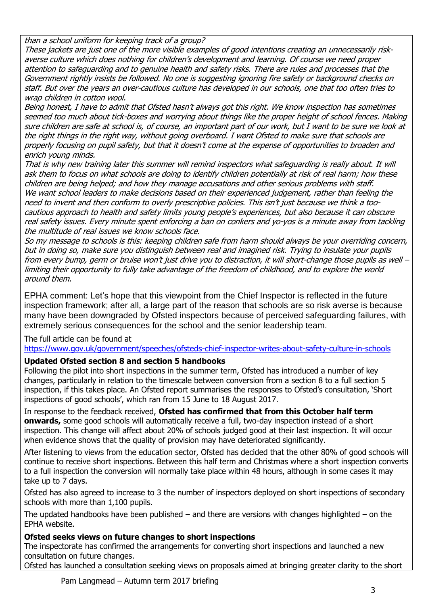than a school uniform for keeping track of a group?

These jackets are just one of the more visible examples of good intentions creating an unnecessarily riskaverse culture which does nothing for children's development and learning. Of course we need proper attention to safeguarding and to genuine health and safety risks. There are rules and processes that the Government rightly insists be followed. No one is suggesting ignoring fire safety or background checks on staff. But over the years an over-cautious culture has developed in our schools, one that too often tries to wrap children in cotton wool.

Being honest, I have to admit that Ofsted hasn't always got this right. We know inspection has sometimes seemed too much about tick-boxes and worrying about things like the proper height of school fences. Making sure children are safe at school is, of course, an important part of our work, but I want to be sure we look at the right things in the right way, without going overboard. I want Ofsted to make sure that schools are properly focusing on pupil safety, but that it doesn't come at the expense of opportunities to broaden and enrich young minds.

That is why new training later this summer will remind inspectors what safeguarding is really about. It will ask them to focus on what schools are doing to identify children potentially at risk of real harm; how these children are being helped; and how they manage accusations and other serious problems with staff. We want school leaders to make decisions based on their experienced judgement, rather than feeling the need to invent and then conform to overly prescriptive policies. This isn't just because we think a toocautious approach to health and safety limits young people's experiences, but also because it can obscure real safety issues. Every minute spent enforcing a ban on conkers and yo-yos is a minute away from tackling the multitude of real issues we know schools face.

So my message to schools is this: keeping children safe from harm should always be your overriding concern, but in doing so, make sure you distinguish between real and imagined risk. Trying to insulate your pupils from every bump, germ or bruise won't just drive you to distraction, it will short-change those pupils as well – limiting their opportunity to fully take advantage of the freedom of childhood, and to explore the world around them.

EPHA comment: Let's hope that this viewpoint from the Chief Inspector is reflected in the future inspection framework; after all, a large part of the reason that schools are so risk averse is because many have been downgraded by Ofsted inspectors because of perceived safeguarding failures, with extremely serious consequences for the school and the senior leadership team.

The full article can be found at

<https://www.gov.uk/government/speeches/ofsteds-chief-inspector-writes-about-safety-culture-in-schools>

## **Updated Ofsted section 8 and section 5 handbooks**

Following the pilot into short inspections in the summer term, Ofsted has introduced a number of key changes, particularly in relation to the timescale between conversion from a section 8 to a full section 5 inspection, if this takes place. An Ofsted report summarises the responses to Ofsted's consultation, 'Short inspections of good schools', which ran from 15 June to 18 August 2017.

In response to the feedback received, **Ofsted has confirmed that from this October half term onwards,** some good schools will automatically receive a full, two-day inspection instead of a short inspection. This change will affect about 20% of schools judged good at their last inspection. It will occur when evidence shows that the quality of provision may have deteriorated significantly.

After listening to views from the education sector, Ofsted has decided that the other 80% of good schools will continue to receive short inspections. Between this half term and Christmas where a short inspection converts to a full inspection the conversion will normally take place within 48 hours, although in some cases it may take up to 7 days.

Ofsted has also agreed to increase to 3 the number of inspectors deployed on short inspections of secondary schools with more than 1,100 pupils.

The updated handbooks have been published – and there are versions with changes highlighted – on the EPHA website.

## **Ofsted seeks views on future changes to short inspections**

The inspectorate has confirmed the arrangements for converting short inspections and launched a new consultation on future changes.

Ofsted has launched a consultation seeking views on proposals aimed at bringing greater clarity to the short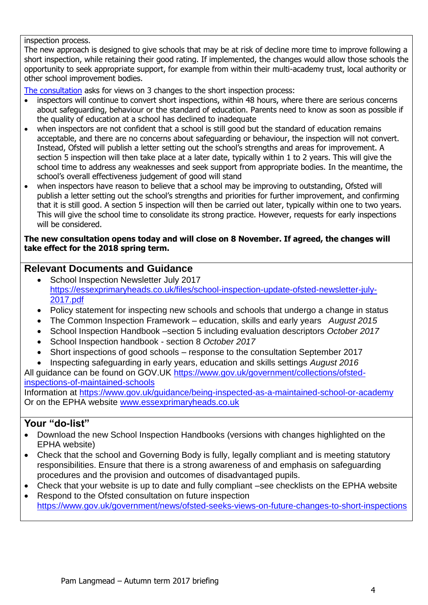#### inspection process.

The new approach is designed to give schools that may be at risk of decline more time to improve following a short inspection, while retaining their good rating. If implemented, the changes would allow those schools the opportunity to seek appropriate support, for example from within their multi-academy trust, local authority or other school improvement bodies.

[The consultation](https://www.gov.uk/government/consultations/short-inspections-of-good-schools-maintained-schools-and-academies) asks for views on 3 changes to the short inspection process:

- inspectors will continue to convert short inspections, within 48 hours, where there are serious concerns about safeguarding, behaviour or the standard of education. Parents need to know as soon as possible if the quality of education at a school has declined to inadequate
- when inspectors are not confident that a school is still good but the standard of education remains acceptable, and there are no concerns about safeguarding or behaviour, the inspection will not convert. Instead, Ofsted will publish a letter setting out the school's strengths and areas for improvement. A section 5 inspection will then take place at a later date, typically within 1 to 2 years. This will give the school time to address any weaknesses and seek support from appropriate bodies. In the meantime, the school's overall effectiveness judgement of good will stand
- when inspectors have reason to believe that a school may be improving to outstanding, Ofsted will publish a letter setting out the school's strengths and priorities for further improvement, and confirming that it is still good. A section 5 inspection will then be carried out later, typically within one to two years. This will give the school time to consolidate its strong practice. However, requests for early inspections will be considered.

#### **The new consultation opens today and will close on 8 November. If agreed, the changes will take effect for the 2018 spring term.**

## **Relevant Documents and Guidance**

- School Inspection Newsletter July 2017 [https://essexprimaryheads.co.uk/files/school-inspection-update-ofsted-newsletter-july-](https://essexprimaryheads.co.uk/files/school-inspection-update-ofsted-newsletter-july-2017.pdf)[2017.pdf](https://essexprimaryheads.co.uk/files/school-inspection-update-ofsted-newsletter-july-2017.pdf)
- Policy statement for inspecting new schools and schools that undergo a change in status
- The Common Inspection Framework education, skills and early years *August 2015*
- School Inspection Handbook –section 5 including evaluation descriptors *October 2017*
- School Inspection handbook section 8 *October 2017*
- Short inspections of good schools response to the consultation September 2017
- Inspecting safeguarding in early years, education and skills settings *August 2016*
- All guidance can be found on GOV.UK [https://www.gov.uk/government/collections/ofsted](https://www.gov.uk/government/collections/ofsted-inspections-of-maintained-schools)[inspections-of-maintained-schools](https://www.gov.uk/government/collections/ofsted-inspections-of-maintained-schools)

Information at<https://www.gov.uk/guidance/being-inspected-as-a-maintained-school-or-academy> Or on the EPHA website [www.essexprimaryheads.co.uk](http://www.essexprimaryheads.co.uk/)

- Download the new School Inspection Handbooks (versions with changes highlighted on the EPHA website)
- Check that the school and Governing Body is fully, legally compliant and is meeting statutory responsibilities. Ensure that there is a strong awareness of and emphasis on safeguarding procedures and the provision and outcomes of disadvantaged pupils.
- Check that your website is up to date and fully compliant –see checklists on the EPHA website
- Respond to the Ofsted consultation on future inspection <https://www.gov.uk/government/news/ofsted-seeks-views-on-future-changes-to-short-inspections>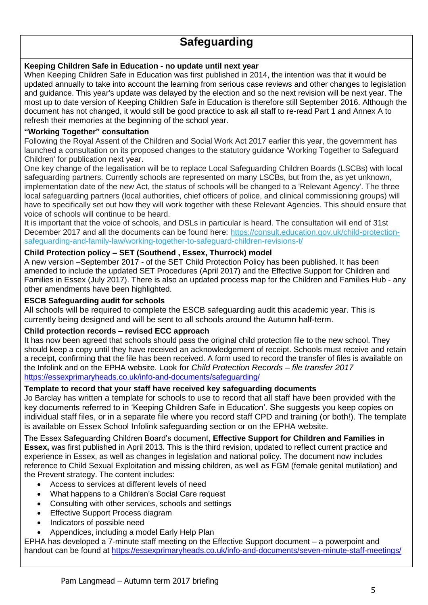## **Safeguarding**

#### **Keeping Children Safe in Education - no update until next year**

When Keeping Children Safe in Education was first published in 2014, the intention was that it would be updated annually to take into account the learning from serious case reviews and other changes to legislation and guidance. This year's update was delayed by the election and so the next revision will be next year. The most up to date version of Keeping Children Safe in Education is therefore still September 2016. Although the document has not changed, it would still be good practice to ask all staff to re-read Part 1 and Annex A to refresh their memories at the beginning of the school year.

#### **"Working Together" consultation**

Following the Royal Assent of the Children and Social Work Act 2017 earlier this year, the government has launched a consultation on its proposed changes to the statutory guidance 'Working Together to Safeguard Children' for publication next year.

One key change of the legalisation will be to replace Local Safeguarding Children Boards (LSCBs) with local safeguarding partners. Currently schools are represented on many LSCBs, but from the, as yet unknown, implementation date of the new Act, the status of schools will be changed to a 'Relevant Agency'. The three local safeguarding partners (local authorities, chief officers of police, and clinical commissioning groups) will have to specifically set out how they will work together with these Relevant Agencies. This should ensure that voice of schools will continue to be heard.

It is important that the voice of schools, and DSLs in particular is heard. The consultation will end of 31st December 2017 and all the documents can be found here: [https://consult.education.gov.uk/child-protection](https://safeguardinginschools.us12.list-manage.com/track/click?u=efe032677d94ceba51dd39a7f&id=53f137f61f&e=6534e1f39c)[safeguarding-and-family-law/working-together-to-safeguard-children-revisions-t/](https://safeguardinginschools.us12.list-manage.com/track/click?u=efe032677d94ceba51dd39a7f&id=53f137f61f&e=6534e1f39c)

#### **Child Protection policy – SET (Southend , Essex, Thurrock) model**

A new version –September 2017 - of the SET Child Protection Policy has been published. It has been amended to include the updated SET Procedures (April 2017) and the Effective Support for Children and Families in Essex (July 2017). There is also an updated process map for the Children and Families Hub - any other amendments have been highlighted.

#### **ESCB Safeguarding audit for schools**

All schools will be required to complete the ESCB safeguarding audit this academic year. This is currently being designed and will be sent to all schools around the Autumn half-term.

#### **Child protection records – revised ECC approach**

It has now been agreed that schools should pass the original child protection file to the new school. They should keep a copy until they have received an acknowledgement of receipt. Schools must receive and retain a receipt, confirming that the file has been received. A form used to record the transfer of files is available on the Infolink and on the EPHA website. Look for *Child Protection Records – file transfer 2017* <https://essexprimaryheads.co.uk/info-and-documents/safeguarding/>

#### **Template to record that your staff have received key safeguarding documents**

Jo Barclay has written a template for schools to use to record that all staff have been provided with the key documents referred to in 'Keeping Children Safe in Education'. She suggests you keep copies on individual staff files, or in a separate file where you record staff CPD and training (or both!). The template is available on Essex School Infolink safeguarding section or on the EPHA website.

The Essex Safeguarding Children Board's document, **Effective Support for Children and Families in Essex,** was first published in April 2013. This is the third revision, updated to reflect current practice and experience in Essex, as well as changes in legislation and national policy. The document now includes reference to Child Sexual Exploitation and missing children, as well as FGM (female genital mutilation) and the Prevent strategy. The content includes:

- Access to services at different levels of need
- What happens to a Children's Social Care request
- Consulting with other services, schools and settings
- Effective Support Process diagram
- Indicators of possible need
- Appendices, including a model Early Help Plan

EPHA has developed a 7-minute staff meeting on the Effective Support document – a powerpoint and handout can be found at<https://essexprimaryheads.co.uk/info-and-documents/seven-minute-staff-meetings/>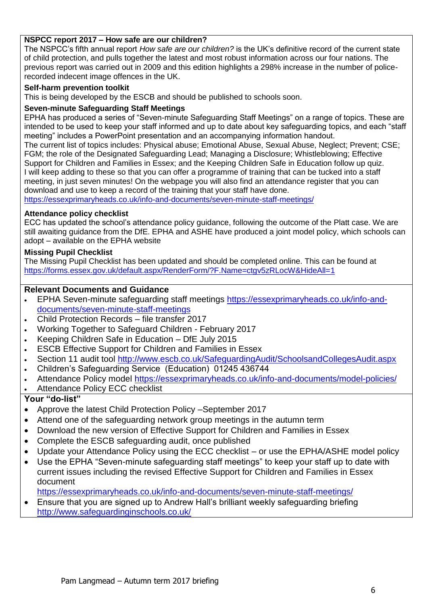#### **NSPCC report 2017 – How safe are our children?**

The NSPCC's fifth annual report *How safe are our children?* is the UK's definitive record of the current state of child protection, and pulls together the latest and most robust information across our four nations. The previous report was carried out in 2009 and this edition highlights a 298% increase in the number of policerecorded indecent image offences in the UK.

#### **Self-harm prevention toolkit**

This is being developed by the ESCB and should be published to schools soon.

#### **Seven-minute Safeguarding Staff Meetings**

EPHA has produced a series of "Seven-minute Safeguarding Staff Meetings" on a range of topics. These are intended to be used to keep your staff informed and up to date about key safeguarding topics, and each "staff meeting" includes a PowerPoint presentation and an accompanying information handout.

The current list of topics includes: Physical abuse; Emotional Abuse, Sexual Abuse, Neglect; Prevent; CSE; FGM; the role of the Designated Safeguarding Lead; Managing a Disclosure; Whistleblowing; Effective Support for Children and Families in Essex; and the Keeping Children Safe in Education follow up quiz. I will keep adding to these so that you can offer a programme of training that can be tucked into a staff meeting, in just seven minutes! On the webpage you will also find an attendance register that you can download and use to keep a record of the training that your staff have done.

<https://essexprimaryheads.co.uk/info-and-documents/seven-minute-staff-meetings/>

#### **Attendance policy checklist**

ECC has updated the school's attendance policy guidance, following the outcome of the Platt case. We are still awaiting guidance from the DfE. EPHA and ASHE have produced a joint model policy, which schools can adopt – available on the EPHA website

#### **Missing Pupil Checklist**

The Missing Pupil Checklist has been updated and should be completed online. This can be found at <https://forms.essex.gov.uk/default.aspx/RenderForm/?F.Name=ctgv5zRLocW&HideAll=1>

#### **Relevant Documents and Guidance**

- EPHA Seven-minute safeguarding staff meetings [https://essexprimaryheads.co.uk/info-and](https://essexprimaryheads.co.uk/info-and-documents/seven-minute-staff-meetings)[documents/seven-minute-staff-meetings](https://essexprimaryheads.co.uk/info-and-documents/seven-minute-staff-meetings)
- Child Protection Records file transfer 2017
- Working Together to Safeguard Children February 2017
- Keeping Children Safe in Education DfE July 2015
- ESCB Effective Support for Children and Families in Essex
- Section 11 audit tool<http://www.escb.co.uk/SafeguardingAudit/SchoolsandCollegesAudit.aspx>
- Children's Safeguarding Service (Education) 01245 436744
- Attendance Policy model<https://essexprimaryheads.co.uk/info-and-documents/model-policies/>
- Attendance Policy ECC checklist

- Approve the latest Child Protection Policy September 2017
- Attend one of the safeguarding network group meetings in the autumn term
- Download the new version of Effective Support for Children and Families in Essex
- Complete the ESCB safeguarding audit, once published
- Update your Attendance Policy using the ECC checklist or use the EPHA/ASHE model policy
- Use the EPHA "Seven-minute safeguarding staff meetings" to keep your staff up to date with current issues including the revised Effective Support for Children and Families in Essex document
- <https://essexprimaryheads.co.uk/info-and-documents/seven-minute-staff-meetings/>
- Ensure that you are signed up to Andrew Hall's brilliant weekly safeguarding briefing <http://www.safeguardinginschools.co.uk/>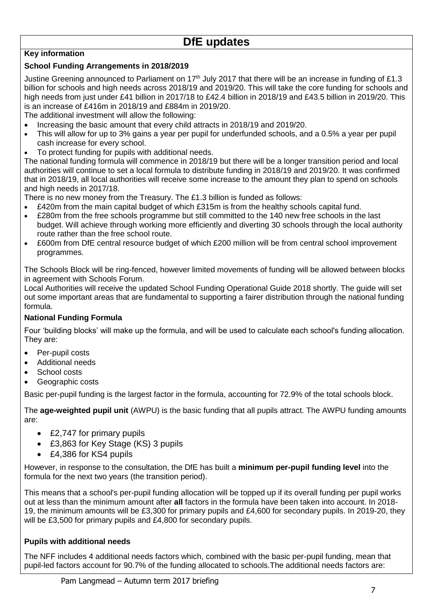## **DfE updates**

#### **Key information**

#### **School Funding Arrangements in 2018/2019**

Justine Greening announced to Parliament on 17<sup>th</sup> July 2017 that there will be an increase in funding of £1.3 billion for schools and high needs across 2018/19 and 2019/20. This will take the core funding for schools and high needs from just under £41 billion in 2017/18 to £42.4 billion in 2018/19 and £43.5 billion in 2019/20. This is an increase of £416m in 2018/19 and £884m in 2019/20.

The additional investment will allow the following:

- Increasing the basic amount that every child attracts in 2018/19 and 2019/20.
- This will allow for up to 3% gains a year per pupil for underfunded schools, and a 0.5% a year per pupil cash increase for every school.
- To protect funding for pupils with additional needs.

The national funding formula will commence in 2018/19 but there will be a longer transition period and local authorities will continue to set a local formula to distribute funding in 2018/19 and 2019/20. It was confirmed that in 2018/19, all local authorities will receive some increase to the amount they plan to spend on schools and high needs in 2017/18.

There is no new money from the Treasury. The £1.3 billion is funded as follows:

- £420m from the main capital budget of which £315m is from the healthy schools capital fund.
- £280m from the free schools programme but still committed to the 140 new free schools in the last budget. Will achieve through working more efficiently and diverting 30 schools through the local authority route rather than the free school route.
- £600m from DfE central resource budget of which £200 million will be from central school improvement programmes.

The Schools Block will be ring-fenced, however limited movements of funding will be allowed between blocks in agreement with Schools Forum.

Local Authorities will receive the updated School Funding Operational Guide 2018 shortly. The guide will set out some important areas that are fundamental to supporting a fairer distribution through the national funding formula.

#### **National Funding Formula**

Four 'building blocks' will make up the formula, and will be used to calculate each school's funding allocation. They are:

- Per-pupil costs
- Additional needs
- School costs
- Geographic costs

Basic per-pupil funding is the largest factor in the formula, accounting for 72.9% of the total schools block.

The **age-weighted pupil unit** (AWPU) is the basic funding that all pupils attract. The AWPU funding amounts are:

- £2,747 for primary pupils
- £3,863 for Key Stage (KS) 3 pupils
- £4,386 for KS4 pupils

However, in response to the consultation, the DfE has built a **minimum per-pupil funding level** into the formula for the next two years (the transition period).

This means that a school's per-pupil funding allocation will be topped up if its overall funding per pupil works out at less than the minimum amount after **all** factors in the formula have been taken into account. In 2018- 19, the minimum amounts will be £3,300 for primary pupils and £4,600 for secondary pupils. In 2019-20, they will be £3,500 for primary pupils and £4,800 for secondary pupils.

#### **Pupils with additional needs**

The NFF includes 4 additional needs factors which, combined with the basic per-pupil funding, mean that pupil-led factors account for 90.7% of the funding allocated to schools.The additional needs factors are: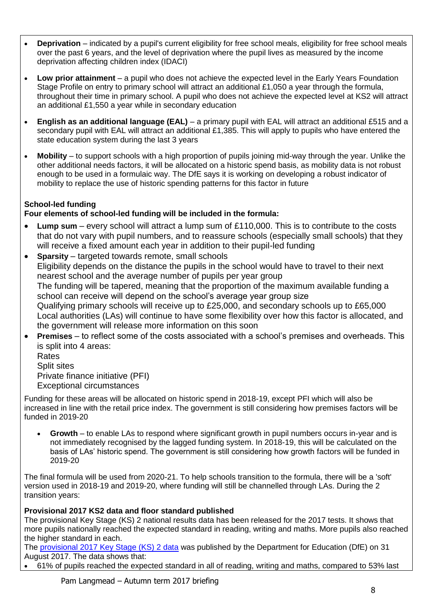- **Deprivation** indicated by a pupil's current eligibility for free school meals, eligibility for free school meals over the past 6 years, and the level of deprivation where the pupil lives as measured by the income deprivation affecting children index (IDACI)
- **Low prior attainment** a pupil who does not achieve the expected level in the Early Years Foundation Stage Profile on entry to primary school will attract an additional £1,050 a year through the formula, throughout their time in primary school. A pupil who does not achieve the expected level at KS2 will attract an additional £1,550 a year while in secondary education
- **English as an additional language (EAL)** a primary pupil with EAL will attract an additional £515 and a secondary pupil with EAL will attract an additional £1,385. This will apply to pupils who have entered the state education system during the last 3 years
- **Mobility** to support schools with a high proportion of pupils joining mid-way through the year. Unlike the other additional needs factors, it will be allocated on a historic spend basis, as mobility data is not robust enough to be used in a formulaic way. The DfE says it is working on developing a robust indicator of mobility to replace the use of historic spending patterns for this factor in future

### **School-led funding**

## **Four elements of school-led funding will be included in the formula:**

- **Lump sum**  every school will attract a lump sum of £110,000. This is to contribute to the costs that do not vary with pupil numbers, and to reassure schools (especially small schools) that they will receive a fixed amount each year in addition to their pupil-led funding
- **Sparsity**  targeted towards remote, small schools Eligibility depends on the distance the pupils in the school would have to travel to their next nearest school and the average number of pupils per year group The funding will be tapered, meaning that the proportion of the maximum available funding a school can receive will depend on the school's average year group size Qualifying primary schools will receive up to £25,000, and secondary schools up to £65,000 Local authorities (LAs) will continue to have some flexibility over how this factor is allocated, and the government will release more information on this soon
- **Premises** to reflect some of the costs associated with a school's premises and overheads. This is split into 4 areas:

Rates Split sites Private finance initiative (PFI) Exceptional circumstances

Funding for these areas will be allocated on historic spend in 2018-19, except PFI which will also be increased in line with the retail price index. The government is still considering how premises factors will be funded in 2019-20

 **Growth** – to enable LAs to respond where significant growth in pupil numbers occurs in-year and is not immediately recognised by the lagged funding system. In 2018-19, this will be calculated on the basis of LAs' historic spend. The government is still considering how growth factors will be funded in 2019-20

The final formula will be used from 2020-21. To help schools transition to the formula, there will be a 'soft' version used in 2018-19 and 2019-20, where funding will still be channelled through LAs. During the 2 transition years:

### **Provisional 2017 KS2 data and floor standard published**

The provisional Key Stage (KS) 2 national results data has been released for the 2017 tests. It shows that more pupils nationally reached the expected standard in reading, writing and maths. More pupils also reached the higher standard in each.

The [provisional 2017 Key Stage \(KS\) 2 data](https://www.gov.uk/government/uploads/system/uploads/attachment_data/file/641033/SFR43_KS2_2017_text.pdf) was published by the Department for Education (DfE) on 31 August 2017. The data shows that:

61% of pupils reached the expected standard in all of reading, writing and maths, compared to 53% last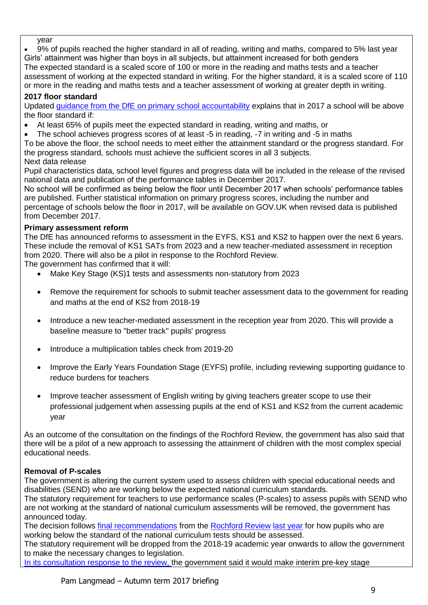year

 9% of pupils reached the higher standard in all of reading, writing and maths, compared to 5% last year Girls' attainment was higher than boys in all subjects, but attainment increased for both genders The expected standard is a scaled score of 100 or more in the reading and maths tests and a teacher assessment of working at the expected standard in writing. For the higher standard, it is a scaled score of 110 or more in the reading and maths tests and a teacher assessment of working at greater depth in writing.

### **2017 floor standard**

Updated [guidance from the DfE on primary school accountability](https://www.gov.uk/government/uploads/system/uploads/attachment_data/file/639901/Primary_school_accountability_technical_guidance_2017.pdf) explains that in 2017 a school will be above the floor standard if:

- At least 65% of pupils meet the expected standard in reading, writing and maths, or
- The school achieves progress scores of at least -5 in reading, -7 in writing and -5 in maths

To be above the floor, the school needs to meet either the attainment standard or the progress standard. For the progress standard, schools must achieve the sufficient scores in all 3 subjects.

Next data release

Pupil characteristics data, school level figures and progress data will be included in the release of the revised national data and publication of the performance tables in December 2017.

No school will be confirmed as being below the floor until December 2017 when schools' performance tables are published. Further statistical information on primary progress scores, including the number and percentage of schools below the floor in 2017, will be available on GOV.UK when revised data is published from December 2017.

### **Primary assessment reform**

The DfE has announced reforms to assessment in the EYFS, KS1 and KS2 to happen over the next 6 years. These include the removal of KS1 SATs from 2023 and a new teacher-mediated assessment in reception from 2020. There will also be a pilot in response to the Rochford Review.

The government has confirmed that it will:

- Make Key Stage (KS)1 tests and assessments non-statutory from 2023
- Remove the requirement for schools to submit teacher assessment data to the government for reading and maths at the end of KS2 from 2018-19
- Introduce a new teacher-mediated assessment in the reception year from 2020. This will provide a baseline measure to "better track" pupils' progress
- Introduce a multiplication tables check from 2019-20
- Improve the Early Years Foundation Stage (EYFS) profile, including reviewing supporting guidance to reduce burdens for teachers
- Improve teacher assessment of English writing by giving teachers greater scope to use their professional judgement when assessing pupils at the end of KS1 and KS2 from the current academic year

As an outcome of the consultation on the findings of the Rochford Review, the government has also said that there will be a pilot of a new approach to assessing the attainment of children with the most complex special educational needs.

### **Removal of P-scales**

The government is altering the current system used to assess children with special educational needs and disabilities (SEND) who are working below the expected national curriculum standards.

The statutory requirement for teachers to use performance scales (P-scales) to assess pupils with SEND who are not working at the standard of national curriculum assessments will be removed, the government has announced today.

The decision follows [final recommendations](https://www.tes.com/news/school-news/breaking-news/rochford-review-changes-send-assessment-could-lower-expectations) from the [Rochford Review](https://www.gov.uk/government/publications/rochford-review-final-report) [last year](https://www.tes.com/news/school-news/breaking-news/rochford-review-changes-send-assessment-could-lower-expectations) for how pupils who are working below the standard of the national curriculum tests should be assessed.

The statutory requirement will be dropped from the 2018-19 academic year onwards to allow the government to make the necessary changes to legislation.

[In its consultation response to the review, t](https://www.gov.uk/government/uploads/system/uploads/attachment_data/file/644729/Rochford_consultation_response.pdf)he government said it would make interim pre-key stage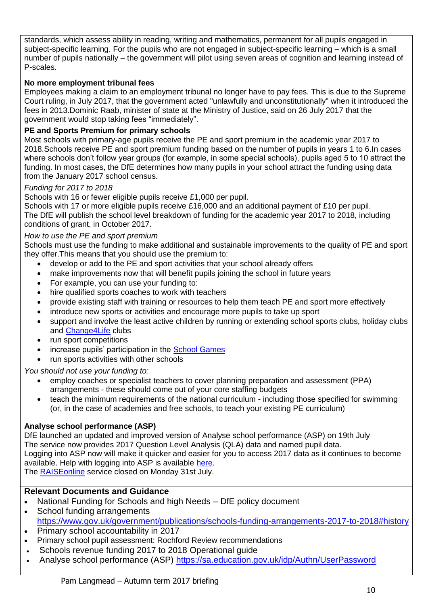standards, which assess ability in reading, writing and mathematics, permanent for all pupils engaged in subject-specific learning. For the pupils who are not engaged in subject-specific learning – which is a small number of pupils nationally – the government will pilot using seven areas of cognition and learning instead of P-scales.

#### **No more employment tribunal fees**

Employees making a claim to an employment tribunal no longer have to pay fees. This is due to the Supreme Court ruling, in July 2017, that the government acted "unlawfully and unconstitutionally" when it introduced the fees in 2013.Dominic Raab, minister of state at the Ministry of Justice, said on 26 July 2017 that the government would stop taking fees "immediately".

#### **PE and Sports Premium for primary schools**

Most schools with primary-age pupils receive the PE and sport premium in the academic year 2017 to 2018.Schools receive PE and sport premium funding based on the number of pupils in years 1 to 6.In cases where schools don't follow year groups (for example, in some special schools), pupils aged 5 to 10 attract the funding. In most cases, the DfE determines how many pupils in your school attract the funding using data from the January 2017 school census.

#### *Funding for 2017 to 2018*

Schools with 16 or fewer eligible pupils receive £1,000 per pupil.

Schools with 17 or more eligible pupils receive £16,000 and an additional payment of £10 per pupil. The DfE will publish the school level breakdown of funding for the academic year 2017 to 2018, including conditions of grant, in October 2017.

#### *How to use the PE and sport premium*

Schools must use the funding to make additional and sustainable improvements to the quality of PE and sport they offer.This means that you should use the premium to:

- develop or add to the PE and sport activities that your school already offers
- make improvements now that will benefit pupils joining the school in future years
- For example, you can use your funding to:
- hire qualified sports coaches to work with teachers
- provide existing staff with training or resources to help them teach PE and sport more effectively
- introduce new sports or activities and encourage more pupils to take up sport
- support and involve the least active children by running or extending school sports clubs, holiday clubs and [Change4Life](http://www.nhs.uk/change4life/Pages/change-for-life.aspx) clubs
- run sport competitions
- increase pupils' participation in the [School Games](https://www.gov.uk/government/policies/getting-more-people-playing-sport/supporting-pages/the-school-games)
- run sports activities with other schools

*You should not use your funding to:*

- employ coaches or specialist teachers to cover planning preparation and assessment (PPA) arrangements - these should come out of your core staffing budgets
- teach the minimum requirements of the national curriculum including those specified for swimming (or, in the case of academies and free schools, to teach your existing PE curriculum)

#### **Analyse school performance (ASP)**

DfE launched an updated and improved version of Analyse school performance (ASP) on 19th July The service now provides 2017 Question Level Analysis (QLA) data and named pupil data. Logging into ASP now will make it quicker and easier for you to access 2017 data as it continues to become available. Help with logging into ASP is available [here.](https://youtu.be/A7sFQiEQdMY) The [RAISEonline](https://www.raiseonline.org/login.aspx?ReturnUrl=%2f) service closed on Monday 31st July.

#### **Relevant Documents and Guidance**

- National Funding for Schools and high Needs DfE policy document
- School funding arrangements <https://www.gov.uk/government/publications/schools-funding-arrangements-2017-to-2018#history>
- Primary school accountability in 2017
- Primary school pupil assessment: Rochford Review recommendations
- Schools revenue funding 2017 to 2018 Operational guide
- Analyse school performance (ASP)<https://sa.education.gov.uk/idp/Authn/UserPassword>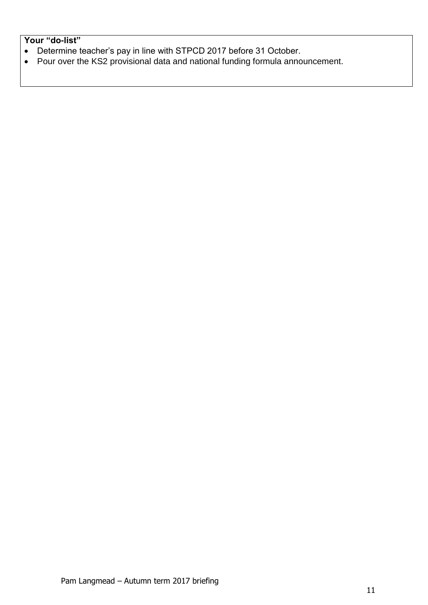- Determine teacher's pay in line with STPCD 2017 before 31 October.
- Pour over the KS2 provisional data and national funding formula announcement.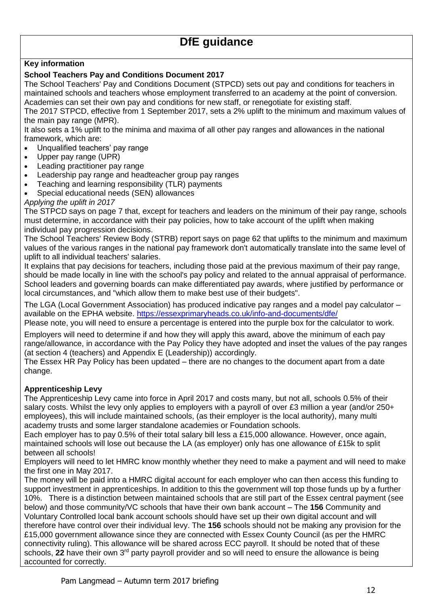## **DfE guidance**

#### **Key information**

#### **School Teachers Pay and Conditions Document 2017**

The School Teachers' Pay and Conditions Document (STPCD) sets out pay and conditions for teachers in maintained schools and teachers whose employment transferred to an academy at the point of conversion. Academies can set their own pay and conditions for new staff, or renegotiate for existing staff.

The 2017 STPCD, effective from 1 September 2017, sets a 2% uplift to the minimum and maximum values of the main pay range (MPR).

It also sets a 1% uplift to the minima and maxima of all other pay ranges and allowances in the national framework, which are:

- Unqualified teachers' pay range
- Upper pay range (UPR)
- Leading practitioner pay range
- Leadership pay range and headteacher group pay ranges
- Teaching and learning responsibility (TLR) payments
- Special educational needs (SEN) allowances

*Applying the uplift in 2017*

The STPCD says on page 7 that, except for teachers and leaders on the minimum of their pay range, schools must determine, in accordance with their pay policies, how to take account of the uplift when making individual pay progression decisions.

The School Teachers' Review Body (STRB) report says on page 62 that uplifts to the minimum and maximum values of the various ranges in the national pay framework don't automatically translate into the same level of uplift to all individual teachers' salaries.

It explains that pay decisions for teachers, including those paid at the previous maximum of their pay range, should be made locally in line with the school's pay policy and related to the annual appraisal of performance. School leaders and governing boards can make differentiated pay awards, where justified by performance or local circumstances, and "which allow them to make best use of their budgets".

The LGA (Local Government Association) has produced indicative pay ranges and a model pay calculator – available on the EPHA website.<https://essexprimaryheads.co.uk/info-and-documents/dfe/>

Please note, you will need to ensure a percentage is entered into the purple box for the calculator to work.

Employers will need to determine if and how they will apply this award, above the minimum of each pay range/allowance, in accordance with the Pay Policy they have adopted and inset the values of the pay ranges (at section 4 (teachers) and Appendix E (Leadership)) accordingly.

The Essex HR Pay Policy has been updated – there are no changes to the document apart from a date change.

#### **Apprenticeship Levy**

The Apprenticeship Levy came into force in April 2017 and costs many, but not all, schools 0.5% of their salary costs. Whilst the levy only applies to employers with a payroll of over £3 million a year (and/or 250+ employees), this will include maintained schools, (as their employer is the local authority), many multi academy trusts and some larger standalone academies or Foundation schools.

Each employer has to pay 0.5% of their total salary bill less a £15,000 allowance. However, once again, maintained schools will lose out because the LA (as employer) only has one allowance of £15k to split between all schools!

Employers will need to let HMRC know monthly whether they need to make a payment and will need to make the first one in May 2017.

The money will be paid into a HMRC digital account for each employer who can then access this funding to support investment in apprenticeships. In addition to this the government will top those funds up by a further 10%. There is a distinction between maintained schools that are still part of the Essex central payment (see below) and those community/VC schools that have their own bank account – The **156** Community and Voluntary Controlled local bank account schools should have set up their own digital account and will therefore have control over their individual levy. The **156** schools should not be making any provision for the £15,000 government allowance since they are connected with Essex County Council (as per the HMRC connectivity ruling). This allowance will be shared across ECC payroll. It should be noted that of these schools, 22 have their own 3<sup>rd</sup> party payroll provider and so will need to ensure the allowance is being accounted for correctly.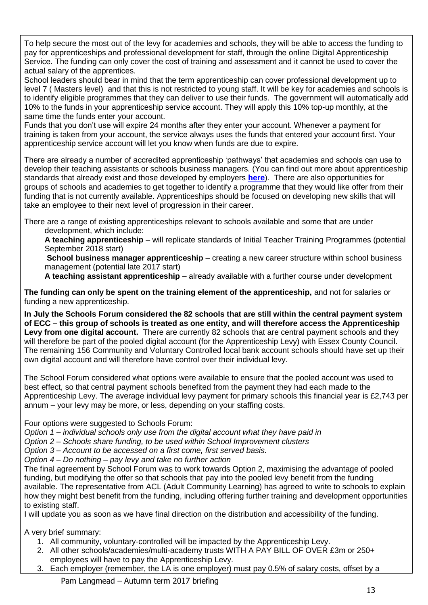To help secure the most out of the levy for academies and schools, they will be able to access the funding to pay for apprenticeships and professional development for staff, through the online Digital Apprenticeship Service. The funding can only cover the cost of training and assessment and it cannot be used to cover the actual salary of the apprentices.

School leaders should bear in mind that the term apprenticeship can cover professional development up to level 7 ( Masters level) and that this is not restricted to young staff. It will be key for academies and schools is to identify eligible programmes that they can deliver to use their funds. The government will automatically add 10% to the funds in your apprenticeship service account. They will apply this 10% top-up monthly, at the same time the funds enter your account.

Funds that you don't use will expire 24 months after they enter your account. Whenever a payment for training is taken from your account, the service always uses the funds that entered your account first. Your apprenticeship service account will let you know when funds are due to expire.

There are already a number of accredited apprenticeship 'pathways' that academies and schools can use to develop their teaching assistants or schools business managers. (You can find out more about apprenticeship standards that already exist and those developed by employers **[here](https://www.gov.uk/government/collections/apprenticeship-standards)**). There are also opportunities for groups of schools and academies to get together to identify a programme that they would like offer from their funding that is not currently available. Apprenticeships should be focused on developing new skills that will take an employee to their next level of progression in their career.

There are a range of existing apprenticeships relevant to schools available and some that are under development, which include:

**A teaching apprenticeship** – will replicate standards of Initial Teacher Training Programmes (potential September 2018 start)

**School business manager apprenticeship** – creating a new career structure within school business management (potential late 2017 start)

**A teaching assistant apprenticeship** – already available with a further course under development

**The funding can only be spent on the training element of the apprenticeship,** and not for salaries or funding a new apprenticeship.

**In July the Schools Forum considered the 82 schools that are still within the central payment system of ECC – this group of schools is treated as one entity, and will therefore access the Apprenticeship Levy from one digital account.** There are currently 82 schools that are central payment schools and they will therefore be part of the pooled digital account (for the Apprenticeship Levy) with Essex County Council. The remaining 156 Community and Voluntary Controlled local bank account schools should have set up their own digital account and will therefore have control over their individual levy.

The School Forum considered what options were available to ensure that the pooled account was used to best effect, so that central payment schools benefited from the payment they had each made to the Apprenticeship Levy. The average individual levy payment for primary schools this financial year is £2,743 per annum – your levy may be more, or less, depending on your staffing costs.

Four options were suggested to Schools Forum:

*Option 1 – individual schools only use from the digital account what they have paid in*

*Option 2 – Schools share funding, to be used within School Improvement clusters*

*Option 3 – Account to be accessed on a first come, first served basis.*

*Option 4 – Do nothing – pay levy and take no further action* 

The final agreement by School Forum was to work towards Option 2, maximising the advantage of pooled funding, but modifying the offer so that schools that pay into the pooled levy benefit from the funding available. The representative from ACL (Adult Community Learning) has agreed to write to schools to explain how they might best benefit from the funding, including offering further training and development opportunities to existing staff.

I will update you as soon as we have final direction on the distribution and accessibility of the funding.

A very brief summary:

- 1. All community, voluntary-controlled will be impacted by the Apprenticeship Levy.
- 2. All other schools/academies/multi-academy trusts WITH A PAY BILL OF OVER £3m or 250+ employees will have to pay the Apprenticeship Levy.
- 3. Each employer (remember, the LA is one employer) must pay 0.5% of salary costs, offset by a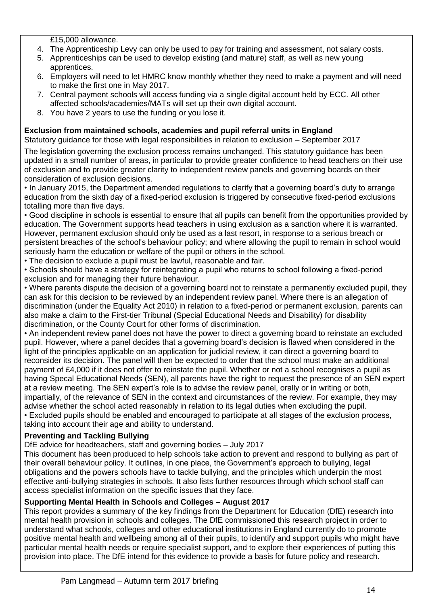£15,000 allowance.

- 4. The Apprenticeship Levy can only be used to pay for training and assessment, not salary costs.
- 5. Apprenticeships can be used to develop existing (and mature) staff, as well as new young apprentices.
- 6. Employers will need to let HMRC know monthly whether they need to make a payment and will need to make the first one in May 2017.
- 7. Central payment schools will access funding via a single digital account held by ECC. All other affected schools/academies/MATs will set up their own digital account.
- 8. You have 2 years to use the funding or you lose it.

### **Exclusion from maintained schools, academies and pupil referral units in England**

Statutory guidance for those with legal responsibilities in relation to exclusion – September 2017

The legislation governing the exclusion process remains unchanged. This statutory guidance has been updated in a small number of areas, in particular to provide greater confidence to head teachers on their use of exclusion and to provide greater clarity to independent review panels and governing boards on their consideration of exclusion decisions.

• In January 2015, the Department amended regulations to clarify that a governing board's duty to arrange education from the sixth day of a fixed-period exclusion is triggered by consecutive fixed-period exclusions totalling more than five days.

• Good discipline in schools is essential to ensure that all pupils can benefit from the opportunities provided by education. The Government supports head teachers in using exclusion as a sanction where it is warranted. However, permanent exclusion should only be used as a last resort, in response to a serious breach or persistent breaches of the school's behaviour policy; and where allowing the pupil to remain in school would seriously harm the education or welfare of the pupil or others in the school.

- The decision to exclude a pupil must be lawful, reasonable and fair.
- Schools should have a strategy for reintegrating a pupil who returns to school following a fixed-period exclusion and for managing their future behaviour.

• Where parents dispute the decision of a governing board not to reinstate a permanently excluded pupil, they can ask for this decision to be reviewed by an independent review panel. Where there is an allegation of discrimination (under the Equality Act 2010) in relation to a fixed-period or permanent exclusion, parents can also make a claim to the First-tier Tribunal (Special Educational Needs and Disability) for disability discrimination, or the County Court for other forms of discrimination.

• An independent review panel does not have the power to direct a governing board to reinstate an excluded pupil. However, where a panel decides that a governing board's decision is flawed when considered in the light of the principles applicable on an application for judicial review, it can direct a governing board to reconsider its decision. The panel will then be expected to order that the school must make an additional payment of £4,000 if it does not offer to reinstate the pupil. Whether or not a school recognises a pupil as having Specal Educational Needs (SEN), all parents have the right to request the presence of an SEN expert at a review meeting. The SEN expert's role is to advise the review panel, orally or in writing or both, impartially, of the relevance of SEN in the context and circumstances of the review. For example, they may advise whether the school acted reasonably in relation to its legal duties when excluding the pupil. • Excluded pupils should be enabled and encouraged to participate at all stages of the exclusion process,

taking into account their age and ability to understand.

## **Preventing and Tackling Bullying**

DfE advice for headteachers, staff and governing bodies – July 2017

This document has been produced to help schools take action to prevent and respond to bullying as part of their overall behaviour policy. It outlines, in one place, the Government's approach to bullying, legal obligations and the powers schools have to tackle bullying, and the principles which underpin the most effective anti-bullying strategies in schools. It also lists further resources through which school staff can access specialist information on the specific issues that they face.

### **Supporting Mental Health in Schools and Colleges – August 2017**

This report provides a summary of the key findings from the Department for Education (DfE) research into mental health provision in schools and colleges. The DfE commissioned this research project in order to understand what schools, colleges and other educational institutions in England currently do to promote positive mental health and wellbeing among all of their pupils, to identify and support pupils who might have particular mental health needs or require specialist support, and to explore their experiences of putting this provision into place. The DfE intend for this evidence to provide a basis for future policy and research.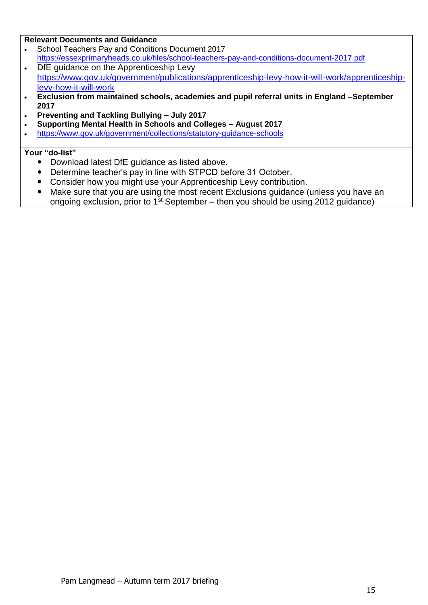#### **Relevant Documents and Guidance**

- School Teachers Pay and Conditions Document 2017 <https://essexprimaryheads.co.uk/files/school-teachers-pay-and-conditions-document-2017.pdf>
- . DfE quidance on the Apprenticeship Levy [https://www.gov.uk/government/publications/apprenticeship-levy-how-it-will-work/apprenticeship](https://www.gov.uk/government/publications/apprenticeship-levy-how-it-will-work/apprenticeship-levy-how-it-will-work)[levy-how-it-will-work](https://www.gov.uk/government/publications/apprenticeship-levy-how-it-will-work/apprenticeship-levy-how-it-will-work)
- **Exclusion from maintained schools, academies and pupil referral units in England –September 2017**
- **Preventing and Tackling Bullying – July 2017**
- **Supporting Mental Health in Schools and Colleges – August 2017**
- <https://www.gov.uk/government/collections/statutory-guidance-schools>

- Download latest DfE guidance as listed above.
- Determine teacher's pay in line with STPCD before 31 October.
- Consider how you might use your Apprenticeship Levy contribution.
- Make sure that you are using the most recent Exclusions guidance (unless you have an ongoing exclusion, prior to  $1<sup>st</sup>$  September – then you should be using 2012 guidance)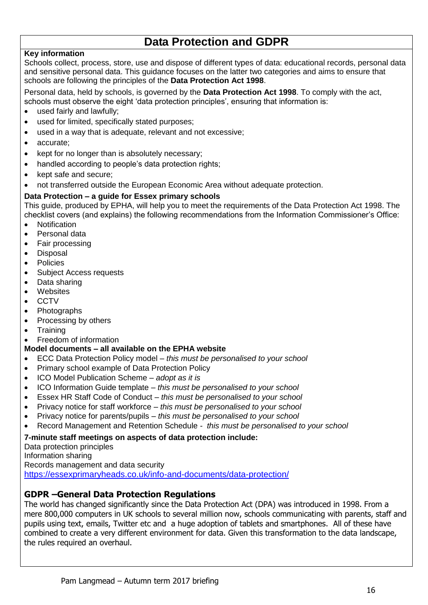## **Data Protection and GDPR**

#### **Key information**

Schools collect, process, store, use and dispose of different types of data: educational records, personal data and sensitive personal data. This guidance focuses on the latter two categories and aims to ensure that schools are following the principles of the **Data Protection Act 1998**.

Personal data, held by schools, is governed by the **Data Protection Act 1998**. To comply with the act, schools must observe the eight 'data protection principles', ensuring that information is:

- used fairly and lawfully:
- used for limited, specifically stated purposes;
- used in a way that is adequate, relevant and not excessive;
- accurate:
- kept for no longer than is absolutely necessary;
- handled according to people's data protection rights;
- kept safe and secure;
- not transferred outside the European Economic Area without adequate protection.

#### **Data Protection – a guide for Essex primary schools**

This guide, produced by EPHA, will help you to meet the requirements of the Data Protection Act 1998. The checklist covers (and explains) the following recommendations from the Information Commissioner's Office:

- Notification
- Personal data
- Fair processing
- Disposal
- Policies
- Subject Access requests
- Data sharing
- Websites
- CCTV
- **Photographs**
- Processing by others
- **Training**

#### • Freedom of information

### **Model documents – all available on the EPHA website**

- ECC Data Protection Policy model *– this must be personalised to your school*
- Primary school example of Data Protection Policy
- ICO Model Publication Scheme *adopt as it is*
- ICO Information Guide template *– this must be personalised to your school*
- Essex HR Staff Code of Conduct *– this must be personalised to your school*
- Privacy notice for staff workforce *– this must be personalised to your school*
- Privacy notice for parents/pupils *– this must be personalised to your school*
- Record Management and Retention Schedule  *this must be personalised to your school*

#### **7-minute staff meetings on aspects of data protection include:**

Data protection principles Information sharing Records management and data security <https://essexprimaryheads.co.uk/info-and-documents/data-protection/>

### **GDPR –General Data Protection Regulations**

The world has changed significantly since the Data Protection Act (DPA) was introduced in 1998. From a mere 800,000 computers in UK schools to several million now, schools communicating with parents, staff and pupils using text, emails, Twitter etc and a huge adoption of tablets and smartphones. All of these have combined to create a very different environment for data. Given this transformation to the data landscape, the rules required an overhaul.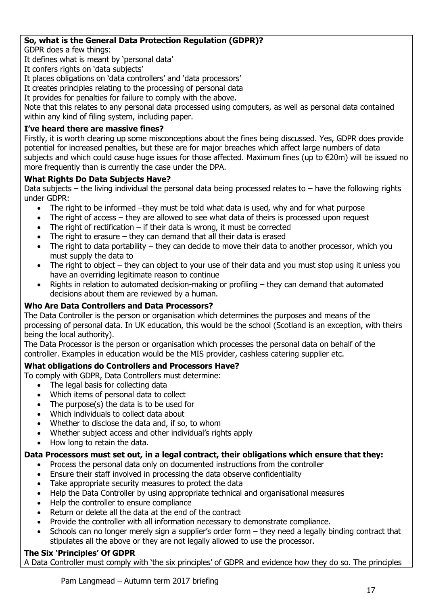### **So, what is the General Data Protection Regulation (GDPR)?**

GDPR does a few things:

It defines what is meant by 'personal data'

It confers rights on 'data subjects'

It places obligations on 'data controllers' and 'data processors'

It creates principles relating to the processing of personal data

It provides for penalties for failure to comply with the above.

Note that this relates to any personal data processed using computers, as well as personal data contained within any kind of filing system, including paper.

#### **I've heard there are massive fines?**

Firstly, it is worth clearing up some misconceptions about the fines being discussed. Yes, GDPR does provide potential for increased penalties, but these are for major breaches which affect large numbers of data subjects and which could cause huge issues for those affected. Maximum fines (up to €20m) will be issued no more frequently than is currently the case under the DPA.

#### **What Rights Do Data Subjects Have?**

Data subjects – the living individual the personal data being processed relates to – have the following rights under GDPR:

- The right to be informed –they must be told what data is used, why and for what purpose
- The right of access they are allowed to see what data of theirs is processed upon request
- The right of rectification if their data is wrong, it must be corrected
- The right to erasure they can demand that all their data is erased
- The right to data portability they can decide to move their data to another processor, which you must supply the data to
- The right to object they can object to your use of their data and you must stop using it unless you have an overriding legitimate reason to continue
- Rights in relation to automated decision-making or profiling they can demand that automated decisions about them are reviewed by a human.

#### **Who Are Data Controllers and Data Processors?**

The Data Controller is the person or organisation which determines the purposes and means of the processing of personal data. In UK education, this would be the school (Scotland is an exception, with theirs being the local authority).

The Data Processor is the person or organisation which processes the personal data on behalf of the controller. Examples in education would be the MIS provider, cashless catering supplier etc.

### **What obligations do Controllers and Processors Have?**

To comply with GDPR, Data Controllers must determine:

- The legal basis for collecting data
- Which items of personal data to collect
- The purpose(s) the data is to be used for
- Which individuals to collect data about
- Whether to disclose the data and, if so, to whom
- Whether subject access and other individual's rights apply
- How long to retain the data.

### **Data Processors must set out, in a legal contract, their obligations which ensure that they:**

- Process the personal data only on documented instructions from the controller
- Ensure their staff involved in processing the data observe confidentiality
- Take appropriate security measures to protect the data
- Help the Data Controller by using appropriate technical and organisational measures
- Help the controller to ensure compliance
- Return or delete all the data at the end of the contract
- Provide the controller with all information necessary to demonstrate compliance.
- Schools can no longer merely sign a supplier's order form they need a legally binding contract that stipulates all the above or they are not legally allowed to use the processor.

### **The Six 'Principles' Of GDPR**

A Data Controller must comply with 'the six principles' of GDPR and evidence how they do so. The principles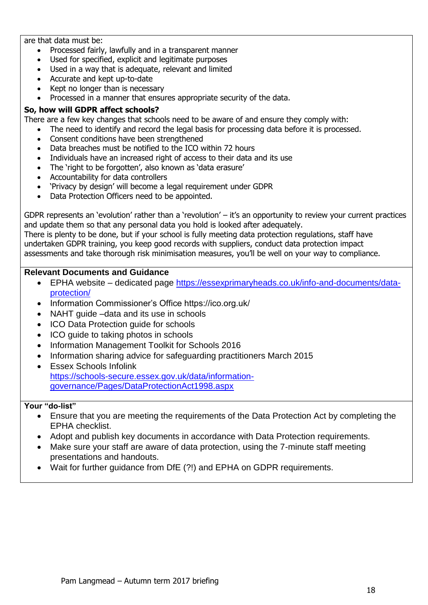#### are that data must be:

- Processed fairly, lawfully and in a transparent manner
- Used for specified, explicit and legitimate purposes
- Used in a way that is adequate, relevant and limited
- Accurate and kept up-to-date
- Kept no longer than is necessary

Processed in a manner that ensures appropriate security of the data.

#### **So, how will GDPR affect schools?**

There are a few key changes that schools need to be aware of and ensure they comply with:

- The need to identify and record the legal basis for processing data before it is processed.
- Consent conditions have been strengthened
- Data breaches must be notified to the ICO within 72 hours
- Individuals have an increased right of access to their data and its use
- The 'right to be forgotten', also known as 'data erasure'
- Accountability for data controllers
- 'Privacy by design' will become a legal requirement under GDPR
- Data Protection Officers need to be appointed.

GDPR represents an 'evolution' rather than a 'revolution' – it's an opportunity to review your current practices and update them so that any personal data you hold is looked after adequately. There is plenty to be done, but if your school is fully meeting data protection regulations, staff have undertaken GDPR training, you keep good records with suppliers, conduct data protection impact

assessments and take thorough risk minimisation measures, you'll be well on your way to compliance.

#### **Relevant Documents and Guidance**

- EPHA website dedicated page [https://essexprimaryheads.co.uk/info-and-documents/data](https://essexprimaryheads.co.uk/info-and-documents/data-protection/)[protection/](https://essexprimaryheads.co.uk/info-and-documents/data-protection/)
- Information Commissioner's Office https://ico.org.uk/
- NAHT quide –data and its use in schools
- ICO Data Protection guide for schools
- ICO guide to taking photos in schools
- Information Management Toolkit for Schools 2016
- Information sharing advice for safeguarding practitioners March 2015
- Essex Schools Infolink [https://schools-secure.essex.gov.uk/data/information](https://schools-secure.essex.gov.uk/data/information-governance/Pages/DataProtectionAct1998.aspx)[governance/Pages/DataProtectionAct1998.aspx](https://schools-secure.essex.gov.uk/data/information-governance/Pages/DataProtectionAct1998.aspx)

- Ensure that you are meeting the requirements of the Data Protection Act by completing the EPHA checklist.
- Adopt and publish key documents in accordance with Data Protection requirements.
- Make sure your staff are aware of data protection, using the 7-minute staff meeting presentations and handouts.
- Wait for further guidance from DfE (?!) and EPHA on GDPR requirements.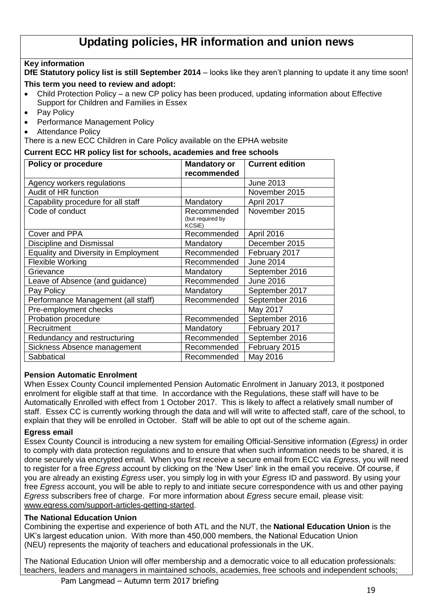## **Updating policies, HR information and union news**

### **Key information**

**DfE Statutory policy list is still September 2014** – looks like they aren't planning to update it any time soon! **This term you need to review and adopt:**

- Child Protection Policy a new CP policy has been produced, updating information about Effective Support for Children and Families in Essex
- Pay Policy
- Performance Management Policy
- Attendance Policy

There is a new ECC Children in Care Policy available on the EPHA website

#### **Current ECC HR policy list for schools, academies and free schools**

| <b>Policy or procedure</b>                  | <b>Mandatory or</b><br>recommended               | <b>Current edition</b> |
|---------------------------------------------|--------------------------------------------------|------------------------|
| Agency workers regulations                  |                                                  | <b>June 2013</b>       |
| Audit of HR function                        |                                                  | November 2015          |
| Capability procedure for all staff          | Mandatory                                        | April 2017             |
| Code of conduct                             | Recommended<br>(but required by<br><b>KCSiE)</b> | November 2015          |
| Cover and PPA                               | Recommended                                      | April 2016             |
| Discipline and Dismissal                    | Mandatory                                        | December 2015          |
| <b>Equality and Diversity in Employment</b> | Recommended                                      | February 2017          |
| <b>Flexible Working</b>                     | Recommended                                      | <b>June 2014</b>       |
| Grievance                                   | Mandatory                                        | September 2016         |
| Leave of Absence (and guidance)             | Recommended                                      | <b>June 2016</b>       |
| Pay Policy                                  | Mandatory                                        | September 2017         |
| Performance Management (all staff)          | Recommended                                      | September 2016         |
| Pre-employment checks                       |                                                  | May 2017               |
| Probation procedure                         | Recommended                                      | September 2016         |
| Recruitment                                 | Mandatory                                        | February 2017          |
| Redundancy and restructuring                | Recommended                                      | September 2016         |
| Sickness Absence management                 | Recommended                                      | February 2015          |
| Sabbatical                                  | Recommended                                      | May 2016               |

#### **Pension Automatic Enrolment**

When Essex County Council implemented Pension Automatic Enrolment in January 2013, it postponed enrolment for eligible staff at that time. In accordance with the Regulations, these staff will have to be Automatically Enrolled with effect from 1 October 2017. This is likely to affect a relatively small number of staff. Essex CC is currently working through the data and will will write to affected staff, care of the school, to explain that they will be enrolled in October. Staff will be able to opt out of the scheme again.

#### **Egress email**

Essex County Council is introducing a new system for emailing Official-Sensitive information (*Egress)* in order to comply with data protection regulations and to ensure that when such information needs to be shared, it is done securely via encrypted email. When you first receive a secure email from ECC via *Egress*, you will need to register for a free *Egress* account by clicking on the 'New User' link in the email you receive. Of course, if you are already an existing *Egress* user, you simply log in with your *Egress* ID and password. By using your free *Egress* account, you will be able to reply to and initiate secure correspondence with us and other paying *Egress* subscribers free of charge. For more information about *Egress* secure email, please visit: [www.egress.com/support-articles-getting-started.](http://www.egress.com/support-articles-getting-started)

#### **The National Education Union**

Combining the expertise and experience of both ATL and the NUT, the **National Education Union** is the UK's largest education union. With more than 450,000 members, the National Education Union (NEU) represents the majority of teachers and educational professionals in the UK.

The National Education Union will offer membership and a democratic voice to all education professionals: teachers, leaders and managers in maintained schools, academies, free schools and independent schools;

Pam Langmead – Autumn term 2017 briefing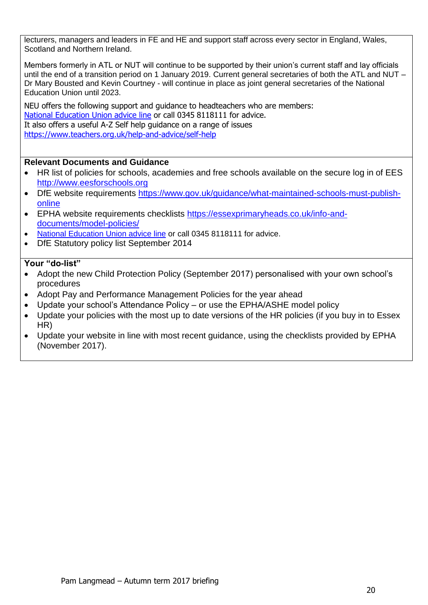lecturers, managers and leaders in FE and HE and support staff across every sector in England, Wales, Scotland and Northern Ireland.

Members formerly in ATL or NUT will continue to be supported by their union's current staff and lay officials until the end of a transition period on 1 January 2019. Current general secretaries of both the ATL and NUT – Dr Mary Bousted and Kevin Courtney - will continue in place as joint general secretaries of the National Education Union until 2023.

NEU offers the following support and guidance to headteachers who are members: [National Education Union advice line](https://neu.org.uk/national-education-union-advice-line) or call 0345 8118111 for advice. It also offers a useful A-Z Self help guidance on a range of issues <https://www.teachers.org.uk/help-and-advice/self-help>

#### **Relevant Documents and Guidance**

- HR list of policies for schools, academies and free schools available on the secure log in of EES [http://www.eesforschools.org](http://www.eesforschools.org/)
- DfE website requirements [https://www.gov.uk/guidance/what-maintained-schools-must-publish](https://www.gov.uk/guidance/what-maintained-schools-must-publish-online)[online](https://www.gov.uk/guidance/what-maintained-schools-must-publish-online)
- EPHA website requirements checklists [https://essexprimaryheads.co.uk/info-and](https://essexprimaryheads.co.uk/info-and-documents/model-policies/)[documents/model-policies/](https://essexprimaryheads.co.uk/info-and-documents/model-policies/)
- [National Education Union advice line](https://neu.org.uk/national-education-union-advice-line) or call 0345 8118111 for advice.
- DfE Statutory policy list September 2014

- Adopt the new Child Protection Policy (September 2017) personalised with your own school's procedures
- Adopt Pay and Performance Management Policies for the year ahead
- Update your school's Attendance Policy or use the EPHA/ASHE model policy
- Update your policies with the most up to date versions of the HR policies (if you buy in to Essex HR)
- Update your website in line with most recent guidance, using the checklists provided by EPHA (November 2017).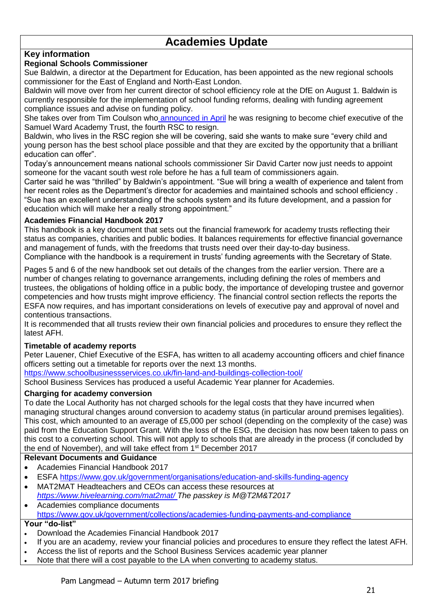## **Academies Update**

### **Key information**

#### **Regional Schools Commissioner**

Sue Baldwin, a director at the Department for Education, has been appointed as the new regional schools commissioner for the East of England and North-East London.

Baldwin will move over from her current director of school efficiency role at the DfE on August 1. Baldwin is currently responsible for the implementation of school funding reforms, dealing with funding agreement compliance issues and advise on funding policy.

She takes over from Tim Coulson who [announced in April](http://schoolsweek.co.uk/rsc-tim-coulson-resigns-to-head-academy-trust/) he was resigning to become chief executive of the Samuel Ward Academy Trust, the fourth RSC to resign.

Baldwin, who lives in the RSC region she will be covering, said she wants to make sure "every child and young person has the best school place possible and that they are excited by the opportunity that a brilliant education can offer".

Today's announcement means national schools commissioner Sir David Carter now just needs to appoint someone for the vacant south west role before he has a full team of commissioners again.

Carter said he was "thrilled" by Baldwin's appointment. "Sue will bring a wealth of experience and talent from her recent roles as the Department's director for academies and maintained schools and school efficiency . "Sue has an excellent understanding of the schools system and its future development, and a passion for education which will make her a really strong appointment."

#### **Academies Financial Handbook 2017**

This handbook is a key document that sets out the financial framework for academy trusts reflecting their status as companies, charities and public bodies. It balances requirements for effective financial governance and management of funds, with the freedoms that trusts need over their day-to-day business. Compliance with the handbook is a requirement in trusts' funding agreements with the Secretary of State.

Pages 5 and 6 of the new handbook set out details of the changes from the earlier version. There are a number of changes relating to governance arrangements, including defining the roles of members and trustees, the obligations of holding office in a public body, the importance of developing trustee and governor competencies and how trusts might improve efficiency. The financial control section reflects the reports the ESFA now requires, and has important considerations on levels of executive pay and approval of novel and contentious transactions.

It is recommended that all trusts review their own financial policies and procedures to ensure they reflect the latest AFH.

#### **Timetable of academy reports**

Peter Lauener, Chief Executive of the ESFA, has written to all academy accounting officers and chief finance officers setting out a timetable for reports over the next 13 months.

<https://www.schoolbusinessservices.co.uk/fin-land-and-buildings-collection-tool/>

School Business Services has produced a useful Academic Year planner for Academies.

#### **Charging for academy conversion**

To date the Local Authority has not charged schools for the legal costs that they have incurred when managing structural changes around conversion to academy status (in particular around premises legalities). This cost, which amounted to an average of £5,000 per school (depending on the complexity of the case) was paid from the Education Support Grant. With the loss of the ESG, the decision has now been taken to pass on this cost to a converting school. This will not apply to schools that are already in the process (if concluded by the end of November), and will take effect from 1<sup>st</sup> December 2017

#### **Relevant Documents and Guidance**

- Academies Financial Handbook 2017
- ESFA<https://www.gov.uk/government/organisations/education-and-skills-funding-agency>
- MAT2MAT Headteachers and CEOs can access these resources at *<https://www.hivelearning.com/mat2mat/> The passkey is M@T2M&T2017*

#### Academies compliance documents <https://www.gov.uk/government/collections/academies-funding-payments-and-compliance>

- Download the Academies Financial Handbook 2017
- If you are an academy, review your financial policies and procedures to ensure they reflect the latest AFH.
- Access the list of reports and the School Business Services academic year planner
- Note that there will a cost payable to the LA when converting to academy status.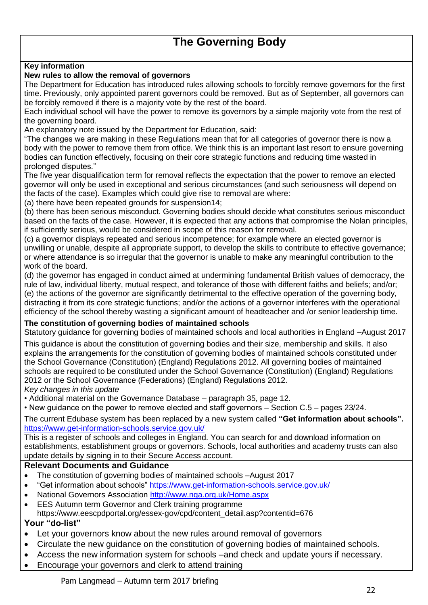#### **Key information**

#### **New rules to allow the removal of governors**

The Department for Education has introduced rules allowing schools to forcibly remove governors for the first time. Previously, only appointed parent governors could be removed. But as of September, all governors can be forcibly removed if there is a majority vote by the rest of the board.

Each individual school will have the power to remove its governors by a simple majority vote from the rest of the governing board.

An explanatory note issued by the Department for Education, said:

"The changes we are making in these Regulations mean that for all categories of governor there is now a body with the power to remove them from office. We think this is an important last resort to ensure governing bodies can function effectively, focusing on their core strategic functions and reducing time wasted in prolonged disputes."

The five year disqualification term for removal reflects the expectation that the power to remove an elected governor will only be used in exceptional and serious circumstances (and such seriousness will depend on the facts of the case). Examples which could give rise to removal are where:

(a) there have been repeated grounds for suspension14;

(b) there has been serious misconduct. Governing bodies should decide what constitutes serious misconduct based on the facts of the case. However, it is expected that any actions that compromise the Nolan principles, if sufficiently serious, would be considered in scope of this reason for removal.

(c) a governor displays repeated and serious incompetence; for example where an elected governor is unwilling or unable, despite all appropriate support, to develop the skills to contribute to effective governance; or where attendance is so irregular that the governor is unable to make any meaningful contribution to the work of the board.

(d) the governor has engaged in conduct aimed at undermining fundamental British values of democracy, the rule of law, individual liberty, mutual respect, and tolerance of those with different faiths and beliefs; and/or; (e) the actions of the governor are significantly detrimental to the effective operation of the governing body, distracting it from its core strategic functions; and/or the actions of a governor interferes with the operational efficiency of the school thereby wasting a significant amount of headteacher and /or senior leadership time.

#### **The constitution of governing bodies of maintained schools**

Statutory guidance for governing bodies of maintained schools and local authorities in England –August 2017

This guidance is about the constitution of governing bodies and their size, membership and skills. It also explains the arrangements for the constitution of governing bodies of maintained schools constituted under the School Governance (Constitution) (England) Regulations 2012. All governing bodies of maintained schools are required to be constituted under the School Governance (Constitution) (England) Regulations 2012 or the School Governance (Federations) (England) Regulations 2012.

*Key changes in this update*

- Additional material on the Governance Database paragraph 35, page 12.
- New guidance on the power to remove elected and staff governors Section C.5 pages 23/24.

The current Edubase system has been replaced by a new system called **"Get information about schools".**  <https://www.get-information-schools.service.gov.uk/>

This is a register of schools and colleges in England. You can search for and download information on establishments, establishment groups or governors. Schools, local authorities and academy trusts can also update details by signing in to their Secure Access account.

#### **Relevant Documents and Guidance**

- The constitution of governing bodies of maintained schools –August 2017
- "Get information about schools"<https://www.get-information-schools.service.gov.uk/>
- National Governors Association<http://www.nga.org.uk/Home.aspx>
- EES Autumn term Governor and Clerk training programme https://www.eescpdportal.org/essex-gov/cpd/content\_detail.asp?contentid=676

- Let your governors know about the new rules around removal of governors
- Circulate the new guidance on the constitution of governing bodies of maintained schools.
- Access the new information system for schools –and check and update yours if necessary.
- Encourage your governors and clerk to attend training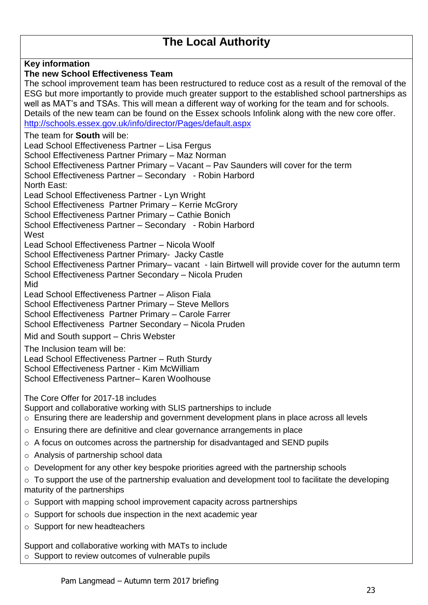## **The Local Authority**

**Key information The new School Effectiveness Team**  The school improvement team has been restructured to reduce cost as a result of the removal of the ESG but more importantly to provide much greater support to the established school partnerships as well as MAT's and TSAs. This will mean a different way of working for the team and for schools. Details of the new team can be found on the Essex schools Infolink along with the new core offer. <http://schools.essex.gov.uk/info/director/Pages/default.aspx> The team for **South** will be: Lead School Effectiveness Partner – Lisa Fergus School Effectiveness Partner Primary – Maz Norman School Effectiveness Partner Primary – Vacant – Pav Saunders will cover for the term School Effectiveness Partner – Secondary - Robin Harbord North East: Lead School Effectiveness Partner - Lyn Wright School Effectiveness Partner Primary - Kerrie McGrory School Effectiveness Partner Primary – Cathie Bonich School Effectiveness Partner – Secondary - Robin Harbord **West** Lead School Effectiveness Partner – Nicola Woolf School Effectiveness Partner Primary- Jacky Castle School Effectiveness Partner Primary– vacant - Iain Birtwell will provide cover for the autumn term School Effectiveness Partner Secondary – Nicola Pruden Mid Lead School Effectiveness Partner – Alison Fiala School Effectiveness Partner Primary – Steve Mellors School Effectiveness Partner Primary – Carole Farrer School Effectiveness Partner Secondary – Nicola Pruden Mid and South support – Chris Webster The Inclusion team will be: Lead School Effectiveness Partner – Ruth Sturdy School Effectiveness Partner - Kim McWilliam School Effectiveness Partner– Karen Woolhouse The Core Offer for 2017-18 includes Support and collaborative working with SLIS partnerships to include o Ensuring there are leadership and government development plans in place across all levels o Ensuring there are definitive and clear governance arrangements in place o A focus on outcomes across the partnership for disadvantaged and SEND pupils o Analysis of partnership school data o Development for any other key bespoke priorities agreed with the partnership schools  $\circ$  To support the use of the partnership evaluation and development tool to facilitate the developing maturity of the partnerships  $\circ$  Support with mapping school improvement capacity across partnerships o Support for schools due inspection in the next academic year o Support for new headteachers Support and collaborative working with MATs to include

o Support to review outcomes of vulnerable pupils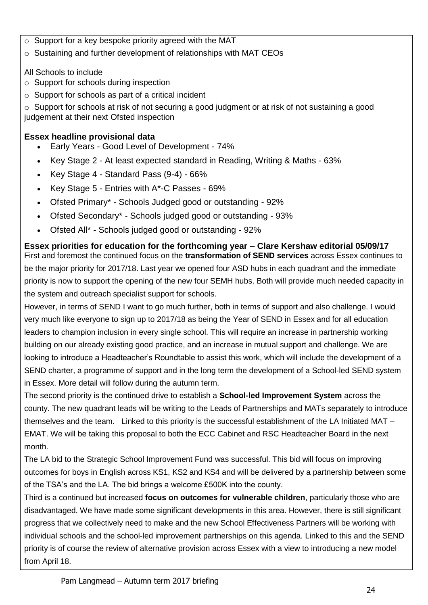- o Support for a key bespoke priority agreed with the MAT
- o Sustaining and further development of relationships with MAT CEOs

## All Schools to include

- o Support for schools during inspection
- o Support for schools as part of a critical incident

 $\circ$  Support for schools at risk of not securing a good judgment or at risk of not sustaining a good judgement at their next Ofsted inspection

## **Essex headline provisional data**

- Early Years Good Level of Development 74%
- Key Stage 2 At least expected standard in Reading, Writing & Maths 63%
- Exercise Mey Stage 4 Standard Pass  $(9-4)$  66%
- Key Stage 5 Entries with A\*-C Passes 69%
- Ofsted Primary\* Schools Judged good or outstanding 92%
- Ofsted Secondary\* Schools judged good or outstanding 93%
- Ofsted All\* Schools judged good or outstanding 92%

**Essex priorities for education for the forthcoming year – Clare Kershaw editorial 05/09/17** First and foremost the continued focus on the **transformation of SEND services** across Essex continues to be the major priority for 2017/18. Last year we opened four ASD hubs in each quadrant and the immediate priority is now to support the opening of the new four SEMH hubs. Both will provide much needed capacity in the system and outreach specialist support for schools.

However, in terms of SEND I want to go much further, both in terms of support and also challenge. I would very much like everyone to sign up to 2017/18 as being the Year of SEND in Essex and for all education leaders to champion inclusion in every single school. This will require an increase in partnership working building on our already existing good practice, and an increase in mutual support and challenge. We are looking to introduce a Headteacher's Roundtable to assist this work, which will include the development of a SEND charter, a programme of support and in the long term the development of a School-led SEND system in Essex. More detail will follow during the autumn term.

The second priority is the continued drive to establish a **School-led Improvement System** across the county. The new quadrant leads will be writing to the Leads of Partnerships and MATs separately to introduce themselves and the team. Linked to this priority is the successful establishment of the LA Initiated MAT – EMAT. We will be taking this proposal to both the ECC Cabinet and RSC Headteacher Board in the next month.

The LA bid to the Strategic School Improvement Fund was successful. This bid will focus on improving outcomes for boys in English across KS1, KS2 and KS4 and will be delivered by a partnership between some of the TSA's and the LA. The bid brings a welcome £500K into the county.

Third is a continued but increased **focus on outcomes for vulnerable children**, particularly those who are disadvantaged. We have made some significant developments in this area. However, there is still significant progress that we collectively need to make and the new School Effectiveness Partners will be working with individual schools and the school-led improvement partnerships on this agenda. Linked to this and the SEND priority is of course the review of alternative provision across Essex with a view to introducing a new model from April 18.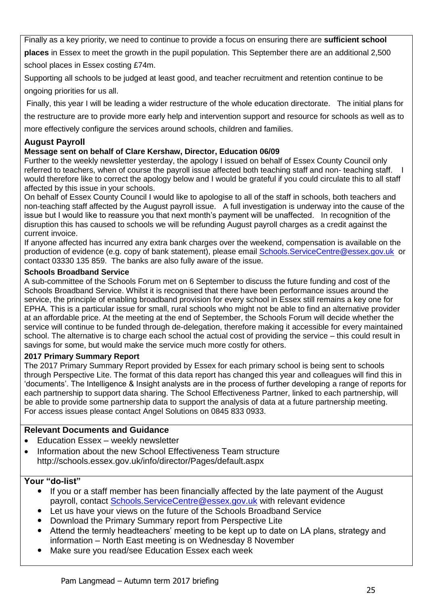Finally as a key priority, we need to continue to provide a focus on ensuring there are **sufficient school places** in Essex to meet the growth in the pupil population. This September there are an additional 2,500 school places in Essex costing £74m.

Supporting all schools to be judged at least good, and teacher recruitment and retention continue to be ongoing priorities for us all.

Finally, this year I will be leading a wider restructure of the whole education directorate. The initial plans for

the restructure are to provide more early help and intervention support and resource for schools as well as to

more effectively configure the services around schools, children and families.

## **August Payroll**

### **Message sent on behalf of Clare Kershaw, Director, Education 06/09**

Further to the weekly newsletter yesterday, the apology I issued on behalf of Essex County Council only referred to teachers, when of course the payroll issue affected both teaching staff and non- teaching staff. would therefore like to correct the apology below and I would be grateful if you could circulate this to all staff affected by this issue in your schools.

On behalf of Essex County Council I would like to apologise to all of the staff in schools, both teachers and non-teaching staff affected by the August payroll issue. A full investigation is underway into the cause of the issue but I would like to reassure you that next month's payment will be unaffected. In recognition of the disruption this has caused to schools we will be refunding August payroll charges as a credit against the current invoice.

If anyone affected has incurred any extra bank charges over the weekend, compensation is available on the production of evidence (e.g. copy of bank statement), please email [Schools.ServiceCentre@essex.gov.uk](mailto:Schools.ServiceCentre@essex.gov.uk) or contact 03330 135 859. The banks are also fully aware of the issue.

#### **Schools Broadband Service**

A sub-committee of the Schools Forum met on 6 September to discuss the future funding and cost of the Schools Broadband Service. Whilst it is recognised that there have been performance issues around the service, the principle of enabling broadband provision for every school in Essex still remains a key one for EPHA. This is a particular issue for small, rural schools who might not be able to find an alternative provider at an affordable price. At the meeting at the end of September, the Schools Forum will decide whether the service will continue to be funded through de-delegation, therefore making it accessible for every maintained school. The alternative is to charge each school the actual cost of providing the service – this could result in savings for some, but would make the service much more costly for others.

### **2017 Primary Summary Report**

The 2017 Primary Summary Report provided by Essex for each primary school is being sent to schools through Perspective Lite. The format of this data report has changed this year and colleagues will find this in 'documents'. The Intelligence & Insight analysts are in the process of further developing a range of reports for each partnership to support data sharing. The School Effectiveness Partner, linked to each partnership, will be able to provide some partnership data to support the analysis of data at a future partnership meeting. For access issues please contact Angel Solutions on 0845 833 0933.

### **Relevant Documents and Guidance**

- Education Essex weekly newsletter
- Information about the new School Effectiveness Team structure http://schools.essex.gov.uk/info/director/Pages/default.aspx

- If you or a staff member has been financially affected by the late payment of the August payroll, contact [Schools.ServiceCentre@essex.gov.uk](mailto:Schools.ServiceCentre@essex.gov.uk) with relevant evidence
- Let us have your views on the future of the Schools Broadband Service
- Download the Primary Summary report from Perspective Lite
- Attend the termly headteachers' meeting to be kept up to date on LA plans, strategy and information – North East meeting is on Wednesday 8 November
- Make sure you read/see Education Essex each week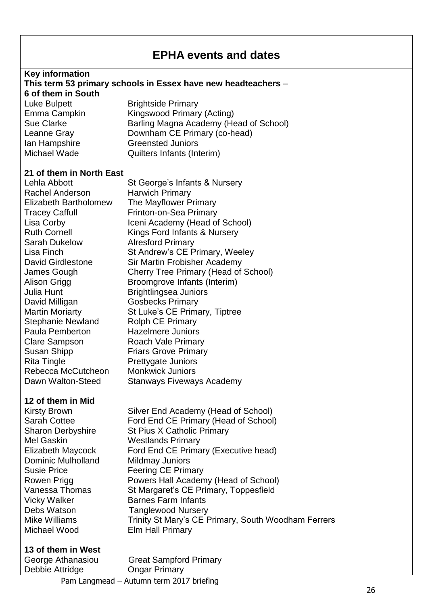## **EPHA events and dates**

#### **Key information This term 53 primary schools in Essex have new headteachers** – **6 of them in South** Luke Bulpett Brightside Primary Emma Campkin Kingswood Primary (Acting)

Sue Clarke **Barling Magna Academy (Head of School)** Leanne Gray Downham CE Primary (co-head) Ian Hampshire Greensted Juniors Michael Wade Quilters Infants (Interim)

#### **21 of them in North East**

Rachel Anderson Harwich Primary Elizabeth Bartholomew The Mayflower Primary Tracey Caffull Frinton-on-Sea Primary Sarah Dukelow Alresford Primary Julia Hunt Brightlingsea Juniors David Milligan Gosbecks Primary Stephanie Newland Rolph CE Primary Paula Pemberton Hazelmere Juniors Clare Sampson Roach Vale Primary Susan Shipp Friars Grove Primary Rita Tingle **Prettygate Juniors** Rebecca McCutcheon Monkwick Juniors

#### **12 of them in Mid**

Mel Gaskin Westlands Primary Dominic Mulholland Mildmay Juniors Michael Wood Elm Hall Primary

Lehla Abbott St George's Infants & Nursery Lisa Corby **Iceni Academy (Head of School)** Ruth Cornell Kings Ford Infants & Nursery Lisa Finch St Andrew's CE Primary, Weeley David Girdlestone Sir Martin Frobisher Academy James Gough Cherry Tree Primary (Head of School) Alison Grigg Broomgrove Infants (Interim) Martin Moriarty St Luke's CE Primary, Tiptree Dawn Walton-Steed Stanways Fiveways Academy

Kirsty Brown Silver End Academy (Head of School) Sarah Cottee **Ford End CE Primary (Head of School)** Sharon Derbyshire St Pius X Catholic Primary Elizabeth Maycock Ford End CE Primary (Executive head) Susie Price Feering CE Primary Rowen Prigg **Powers Hall Academy (Head of School)** Vanessa Thomas St Margaret's CE Primary, Toppesfield Vicky Walker Barnes Farm Infants Debs Watson Tanglewood Nursery Mike Williams Trinity St Mary's CE Primary, South Woodham Ferrers

| 13 of them in West |                               |
|--------------------|-------------------------------|
| George Athanasiou  | <b>Great Sampford Primary</b> |
| Debbie Attridge    | <b>Ongar Primary</b>          |
|                    |                               |

Pam Langmead – Autumn term 2017 briefing